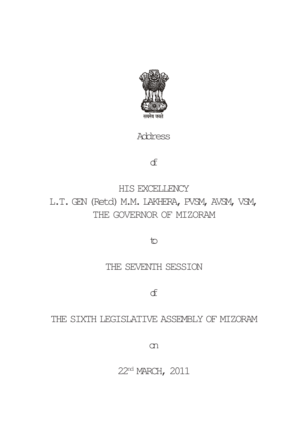

Address

of

HIS EXCELLENCY L.T. GEN (Retd) M.M. LAKHERA, PVSM, AVSM, VSM, THE GOVERNOR OF MIZORAM

to

## THE SEVENTH SESSION

of

## THE SIXTH LEGISLATIVE ASSEMBLY OF MIZORAM

on

22nd MARCH, 2011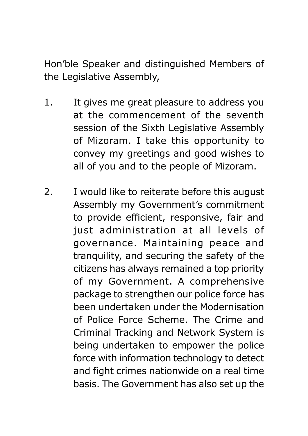Hon'ble Speaker and distinguished Members of the Legislative Assembly,

- 1. It gives me great pleasure to address you at the commencement of the seventh session of the Sixth Legislative Assembly of Mizoram. I take this opportunity to convey my greetings and good wishes to all of you and to the people of Mizoram.
- 2. I would like to reiterate before this august Assembly my Government's commitment to provide efficient, responsive, fair and just administration at all levels of governance. Maintaining peace and tranquility, and securing the safety of the citizens has always remained a top priority of my Government. A comprehensive package to strengthen our police force has been undertaken under the Modernisation of Police Force Scheme. The Crime and Criminal Tracking and Network System is being undertaken to empower the police force with information technology to detect and fight crimes nationwide on a real time basis. The Government has also set up the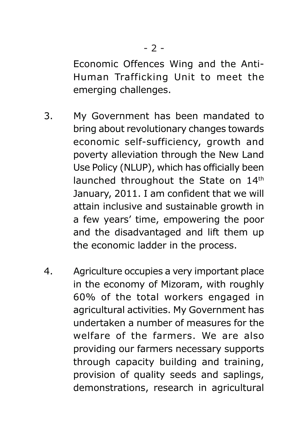Economic Offences Wing and the Anti-Human Trafficking Unit to meet the emerging challenges.

- 3. My Government has been mandated to bring about revolutionary changes towards economic self-sufficiency, growth and poverty alleviation through the New Land Use Policy (NLUP), which has officially been launched throughout the State on 14th January, 2011. I am confident that we will attain inclusive and sustainable growth in a few years' time, empowering the poor and the disadvantaged and lift them up the economic ladder in the process.
- 4. Agriculture occupies a very important place in the economy of Mizoram, with roughly 60% of the total workers engaged in agricultural activities. My Government has undertaken a number of measures for the welfare of the farmers. We are also providing our farmers necessary supports through capacity building and training, provision of quality seeds and saplings, demonstrations, research in agricultural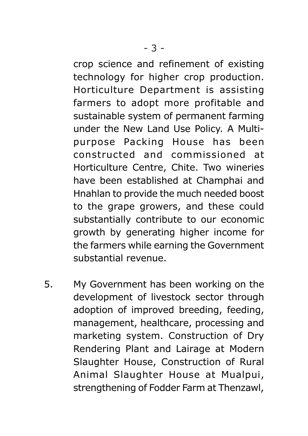crop science and refinement of existing technology for higher crop production. Horticulture Department is assisting farmers to adopt more profitable and sustainable system of permanent farming under the New Land Use Policy. A Multipurpose Packing House has been constructed and commissioned at Horticulture Centre, Chite. Two wineries have been established at Champhai and Hnahlan to provide the much needed boost to the grape growers, and these could substantially contribute to our economic growth by generating higher income for the farmers while earning the Government substantial revenue.

5. My Government has been working on the development of livestock sector through adoption of improved breeding, feeding, management, healthcare, processing and marketing system. Construction of Dry Rendering Plant and Lairage at Modern Slaughter House, Construction of Rural Animal Slaughter House at Mualpui, strengthening of Fodder Farm at Thenzawl,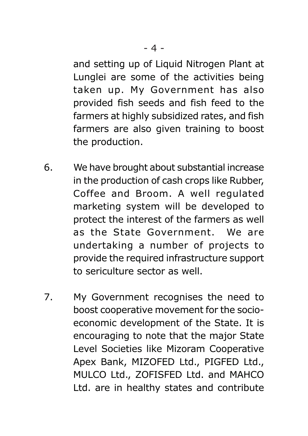and setting up of Liquid Nitrogen Plant at Lunglei are some of the activities being taken up. My Government has also provided fish seeds and fish feed to the farmers at highly subsidized rates, and fish farmers are also given training to boost the production.

- 6. We have brought about substantial increase in the production of cash crops like Rubber, Coffee and Broom. A well regulated marketing system will be developed to protect the interest of the farmers as well as the State Government. We are undertaking a number of projects to provide the required infrastructure support to sericulture sector as well.
- 7. My Government recognises the need to boost cooperative movement for the socioeconomic development of the State. It is encouraging to note that the major State Level Societies like Mizoram Cooperative Apex Bank, MIZOFED Ltd., PIGFED Ltd., MULCO Ltd., ZOFISFED Ltd. and MAHCO Ltd. are in healthy states and contribute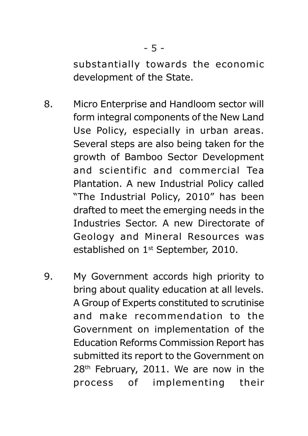substantially towards the economic development of the State.

- 8. Micro Enterprise and Handloom sector will form integral components of the New Land Use Policy, especially in urban areas. Several steps are also being taken for the growth of Bamboo Sector Development and scientific and commercial Tea Plantation. A new Industrial Policy called "The Industrial Policy, 2010" has been drafted to meet the emerging needs in the Industries Sector. A new Directorate of Geology and Mineral Resources was established on 1<sup>st</sup> September, 2010.
- 9. My Government accords high priority to bring about quality education at all levels. A Group of Experts constituted to scrutinise and make recommendation to the Government on implementation of the Education Reforms Commission Report has submitted its report to the Government on 28<sup>th</sup> February, 2011. We are now in the process of implementing their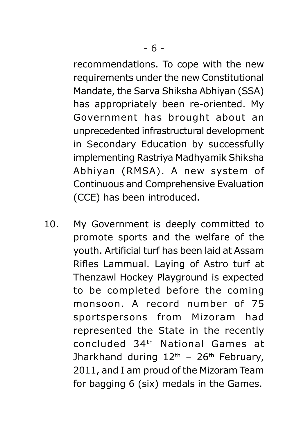recommendations. To cope with the new requirements under the new Constitutional Mandate, the Sarva Shiksha Abhiyan (SSA) has appropriately been re-oriented. My Government has brought about an unprecedented infrastructural development in Secondary Education by successfully implementing Rastriya Madhyamik Shiksha Abhiyan (RMSA). A new system of Continuous and Comprehensive Evaluation (CCE) has been introduced.

10. My Government is deeply committed to promote sports and the welfare of the youth. Artificial turf has been laid at Assam Rifles Lammual. Laying of Astro turf at Thenzawl Hockey Playground is expected to be completed before the coming monsoon. A record number of 75 sportspersons from Mizoram had represented the State in the recently concluded 34th National Games at Jharkhand during  $12<sup>th</sup>$  – 26<sup>th</sup> February, 2011, and I am proud of the Mizoram Team for bagging 6 (six) medals in the Games.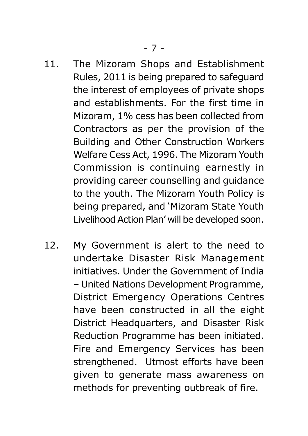- 11. The Mizoram Shops and Establishment Rules, 2011 is being prepared to safeguard the interest of employees of private shops and establishments. For the first time in Mizoram, 1% cess has been collected from Contractors as per the provision of the Building and Other Construction Workers Welfare Cess Act, 1996. The Mizoram Youth Commission is continuing earnestly in providing career counselling and guidance to the youth. The Mizoram Youth Policy is being prepared, and 'Mizoram State Youth Livelihood Action Plan' will be developed soon.
- 12. My Government is alert to the need to undertake Disaster Risk Management initiatives. Under the Government of India – United Nations Development Programme, District Emergency Operations Centres have been constructed in all the eight District Headquarters, and Disaster Risk Reduction Programme has been initiated. Fire and Emergency Services has been strengthened. Utmost efforts have been given to generate mass awareness on methods for preventing outbreak of fire.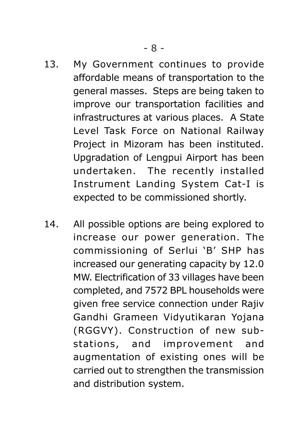- 13. My Government continues to provide affordable means of transportation to the general masses. Steps are being taken to improve our transportation facilities and infrastructures at various places. A State Level Task Force on National Railway Project in Mizoram has been instituted. Upgradation of Lengpui Airport has been undertaken. The recently installed Instrument Landing System Cat-I is expected to be commissioned shortly.
- 14. All possible options are being explored to increase our power generation. The commissioning of Serlui 'B' SHP has increased our generating capacity by 12.0 MW. Electrification of 33 villages have been completed, and 7572 BPL households were given free service connection under Rajiv Gandhi Grameen Vidyutikaran Yojana (RGGVY). Construction of new substations, and improvement and augmentation of existing ones will be carried out to strengthen the transmission and distribution system.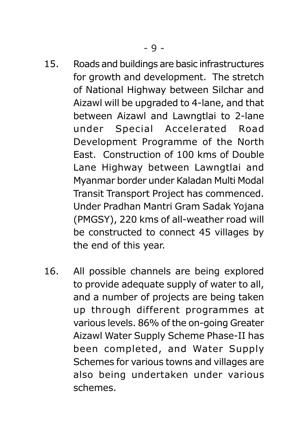- 15. Roads and buildings are basic infrastructures for growth and development. The stretch of National Highway between Silchar and Aizawl will be upgraded to 4-lane, and that between Aizawl and Lawngtlai to 2-lane under Special Accelerated Road Development Programme of the North East. Construction of 100 kms of Double Lane Highway between Lawngtlai and Myanmar border under Kaladan Multi Modal Transit Transport Project has commenced. Under Pradhan Mantri Gram Sadak Yojana (PMGSY), 220 kms of all-weather road will be constructed to connect 45 villages by the end of this year.
- 16. All possible channels are being explored to provide adequate supply of water to all, and a number of projects are being taken up through different programmes at various levels. 86% of the on-going Greater Aizawl Water Supply Scheme Phase-II has been completed, and Water Supply Schemes for various towns and villages are also being undertaken under various schemes.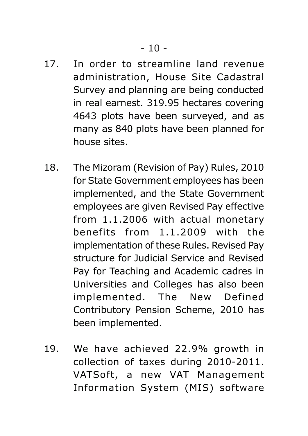- 17. In order to streamline land revenue administration, House Site Cadastral Survey and planning are being conducted in real earnest. 319.95 hectares covering 4643 plots have been surveyed, and as many as 840 plots have been planned for house sites.
- 18. The Mizoram (Revision of Pay) Rules, 2010 for State Government employees has been implemented, and the State Government employees are given Revised Pay effective from 1.1.2006 with actual monetary benefits from 1.1.2009 with the implementation of these Rules. Revised Pay structure for Judicial Service and Revised Pay for Teaching and Academic cadres in Universities and Colleges has also been implemented. The New Defined Contributory Pension Scheme, 2010 has been implemented.
- 19. We have achieved 22.9% growth in collection of taxes during 2010-2011. VATSoft, a new VAT Management Information System (MIS) software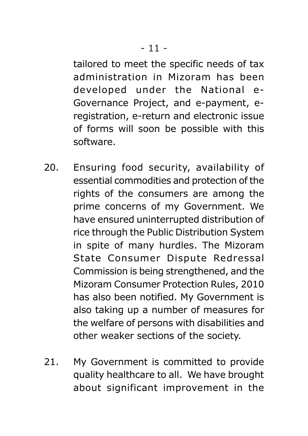tailored to meet the specific needs of tax administration in Mizoram has been developed under the National e-Governance Project, and e-payment, eregistration, e-return and electronic issue of forms will soon be possible with this software.

- 20. Ensuring food security, availability of essential commodities and protection of the rights of the consumers are among the prime concerns of my Government. We have ensured uninterrupted distribution of rice through the Public Distribution System in spite of many hurdles. The Mizoram State Consumer Dispute Redressal Commission is being strengthened, and the Mizoram Consumer Protection Rules, 2010 has also been notified. My Government is also taking up a number of measures for the welfare of persons with disabilities and other weaker sections of the society.
- 21. My Government is committed to provide quality healthcare to all. We have brought about significant improvement in the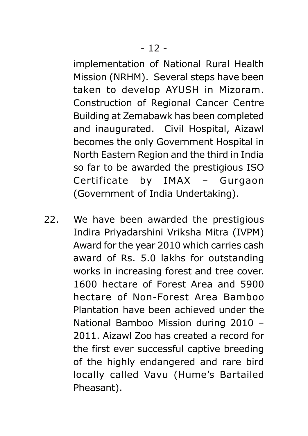implementation of National Rural Health Mission (NRHM). Several steps have been taken to develop AYUSH in Mizoram. Construction of Regional Cancer Centre Building at Zemabawk has been completed and inaugurated. Civil Hospital, Aizawl becomes the only Government Hospital in North Eastern Region and the third in India so far to be awarded the prestigious ISO Certificate by IMAX – Gurgaon (Government of India Undertaking).

22. We have been awarded the prestigious Indira Priyadarshini Vriksha Mitra (IVPM) Award for the year 2010 which carries cash award of Rs. 5.0 lakhs for outstanding works in increasing forest and tree cover. 1600 hectare of Forest Area and 5900 hectare of Non-Forest Area Bamboo Plantation have been achieved under the National Bamboo Mission during 2010 – 2011. Aizawl Zoo has created a record for the first ever successful captive breeding of the highly endangered and rare bird locally called Vavu (Hume's Bartailed Pheasant).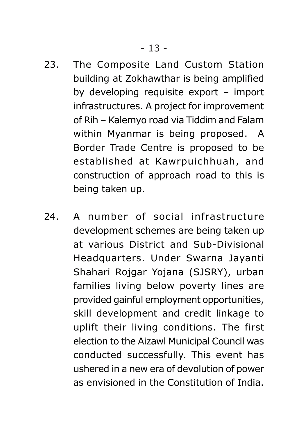- 23. The Composite Land Custom Station building at Zokhawthar is being amplified by developing requisite export – import infrastructures. A project for improvement of Rih – Kalemyo road via Tiddim and Falam within Myanmar is being proposed. A Border Trade Centre is proposed to be established at Kawrpuichhuah, and construction of approach road to this is being taken up.
- 24. A number of social infrastructure development schemes are being taken up at various District and Sub-Divisional Headquarters. Under Swarna Jayanti Shahari Rojgar Yojana (SJSRY), urban families living below poverty lines are provided gainful employment opportunities, skill development and credit linkage to uplift their living conditions. The first election to the Aizawl Municipal Council was conducted successfully. This event has ushered in a new era of devolution of power as envisioned in the Constitution of India.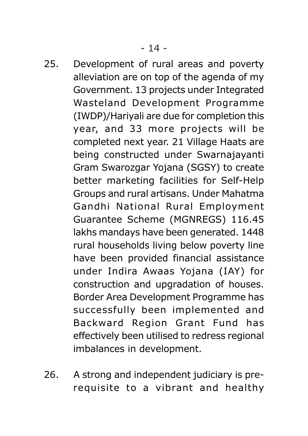- 25. Development of rural areas and poverty alleviation are on top of the agenda of my Government. 13 projects under Integrated Wasteland Development Programme (IWDP)/Hariyali are due for completion this year, and 33 more projects will be completed next year. 21 Village Haats are being constructed under Swarnajayanti Gram Swarozgar Yojana (SGSY) to create better marketing facilities for Self-Help Groups and rural artisans. Under Mahatma Gandhi National Rural Employment Guarantee Scheme (MGNREGS) 116.45 lakhs mandays have been generated. 1448 rural households living below poverty line have been provided financial assistance under Indira Awaas Yojana (IAY) for construction and upgradation of houses. Border Area Development Programme has successfully been implemented and Backward Region Grant Fund has effectively been utilised to redress regional imbalances in development.
- 26. A strong and independent judiciary is prerequisite to a vibrant and healthy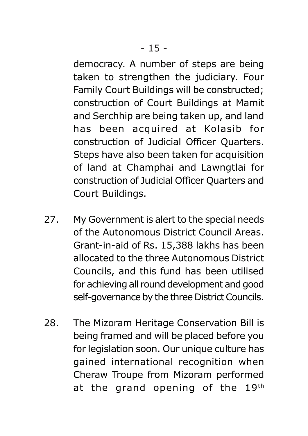democracy. A number of steps are being taken to strengthen the judiciary. Four Family Court Buildings will be constructed; construction of Court Buildings at Mamit and Serchhip are being taken up, and land has been acquired at Kolasib for construction of Judicial Officer Quarters. Steps have also been taken for acquisition of land at Champhai and Lawngtlai for construction of Judicial Officer Quarters and Court Buildings.

- 27. My Government is alert to the special needs of the Autonomous District Council Areas. Grant-in-aid of Rs. 15,388 lakhs has been allocated to the three Autonomous District Councils, and this fund has been utilised for achieving all round development and good self-governance by the three District Councils.
- 28. The Mizoram Heritage Conservation Bill is being framed and will be placed before you for legislation soon. Our unique culture has gained international recognition when Cheraw Troupe from Mizoram performed at the grand opening of the  $19<sup>th</sup>$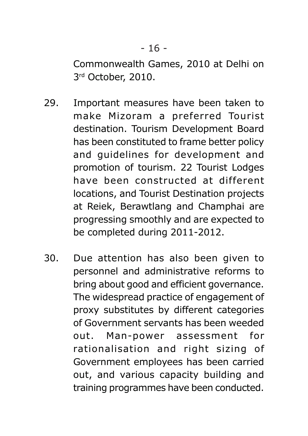Commonwealth Games, 2010 at Delhi on 3 rd October, 2010.

- 29. Important measures have been taken to make Mizoram a preferred Tourist destination. Tourism Development Board has been constituted to frame better policy and guidelines for development and promotion of tourism. 22 Tourist Lodges have been constructed at different locations, and Tourist Destination projects at Reiek, Berawtlang and Champhai are progressing smoothly and are expected to be completed during 2011-2012.
- 30. Due attention has also been given to personnel and administrative reforms to bring about good and efficient governance. The widespread practice of engagement of proxy substitutes by different categories of Government servants has been weeded out. Man-power assessment for rationalisation and right sizing of Government employees has been carried out, and various capacity building and training programmes have been conducted.